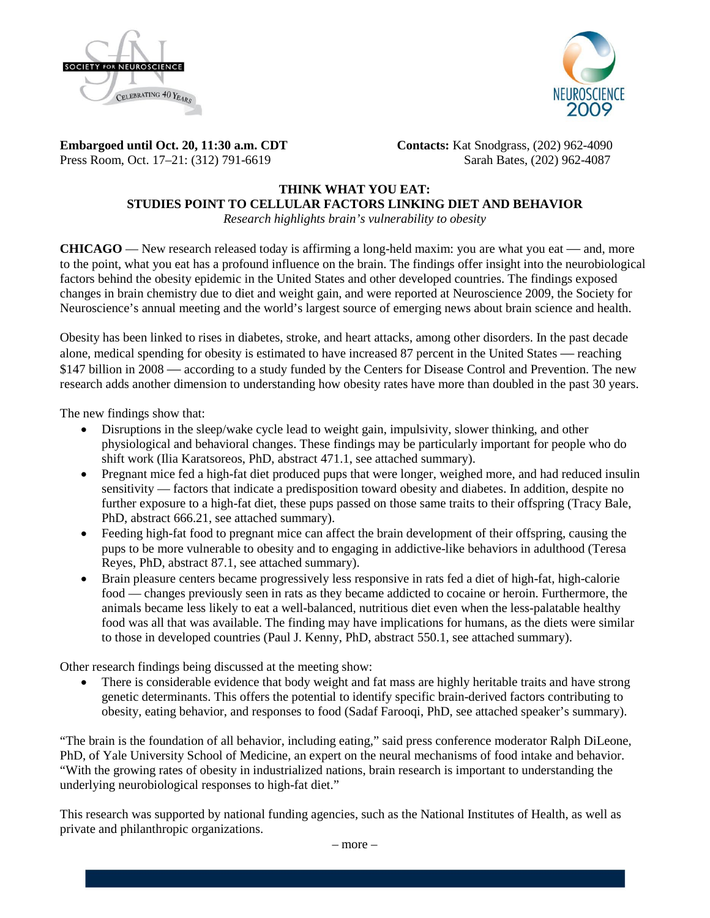



**Embargoed until Oct. 20, 11:30 a.m. CDT Contacts:** Kat Snodgrass, (202) 962-4090 Press Room, Oct. 17–21: (312) 791-6619Sarah Bates, (202) 962-4087

# **THINK WHAT YOU EAT: STUDIES POINT TO CELLULAR FACTORS LINKING DIET AND BEHAVIOR**

*Research highlights brain's vulnerability to obesity*

**CHICAGO** — New research released today is affirming a long-held maxim: you are what you eat — and, more to the point, what you eat has a profound influence on the brain. The findings offer insight into the neurobiological factors behind the obesity epidemic in the United States and other developed countries. The findings exposed changes in brain chemistry due to diet and weight gain, and were reported at Neuroscience 2009, the Society for Neuroscience's annual meeting and the world's largest source of emerging news about brain science and health.

Obesity has been linked to rises in diabetes, stroke, and heart attacks, among other disorders. In the past decade alone, medical spending for obesity is estimated to have increased 87 percent in the United States — reaching \$147 billion in 2008 — according to a study funded by the Centers for Disease Control and Prevention. The new research adds another dimension to understanding how obesity rates have more than doubled in the past 30 years.

The new findings show that:

- Disruptions in the sleep/wake cycle lead to weight gain, impulsivity, slower thinking, and other physiological and behavioral changes. These findings may be particularly important for people who do shift work (Ilia Karatsoreos, PhD, abstract 471.1, see attached summary).
- Pregnant mice fed a high-fat diet produced pups that were longer, weighed more, and had reduced insulin sensitivity — factors that indicate a predisposition toward obesity and diabetes. In addition, despite no further exposure to a high-fat diet, these pups passed on those same traits to their offspring (Tracy Bale, PhD, abstract 666.21, see attached summary).
- Feeding high-fat food to pregnant mice can affect the brain development of their offspring, causing the pups to be more vulnerable to obesity and to engaging in addictive-like behaviors in adulthood (Teresa Reyes, PhD, abstract 87.1, see attached summary).
- Brain pleasure centers became progressively less responsive in rats fed a diet of high-fat, high-calorie food — changes previously seen in rats as they became addicted to cocaine or heroin. Furthermore, the animals became less likely to eat a well-balanced, nutritious diet even when the less-palatable healthy food was all that was available. The finding may have implications for humans, as the diets were similar to those in developed countries (Paul J. Kenny, PhD, abstract 550.1, see attached summary).

Other research findings being discussed at the meeting show:

• There is considerable evidence that body weight and fat mass are highly heritable traits and have strong genetic determinants. This offers the potential to identify specific brain-derived factors contributing to obesity, eating behavior, and responses to food (Sadaf Farooqi, PhD, see attached speaker's summary).

"The brain is the foundation of all behavior, including eating," said press conference moderator Ralph DiLeone, PhD, of Yale University School of Medicine, an expert on the neural mechanisms of food intake and behavior. "With the growing rates of obesity in industrialized nations, brain research is important to understanding the underlying neurobiological responses to high-fat diet."

This research was supported by national funding agencies, such as the National Institutes of Health, as well as private and philanthropic organizations.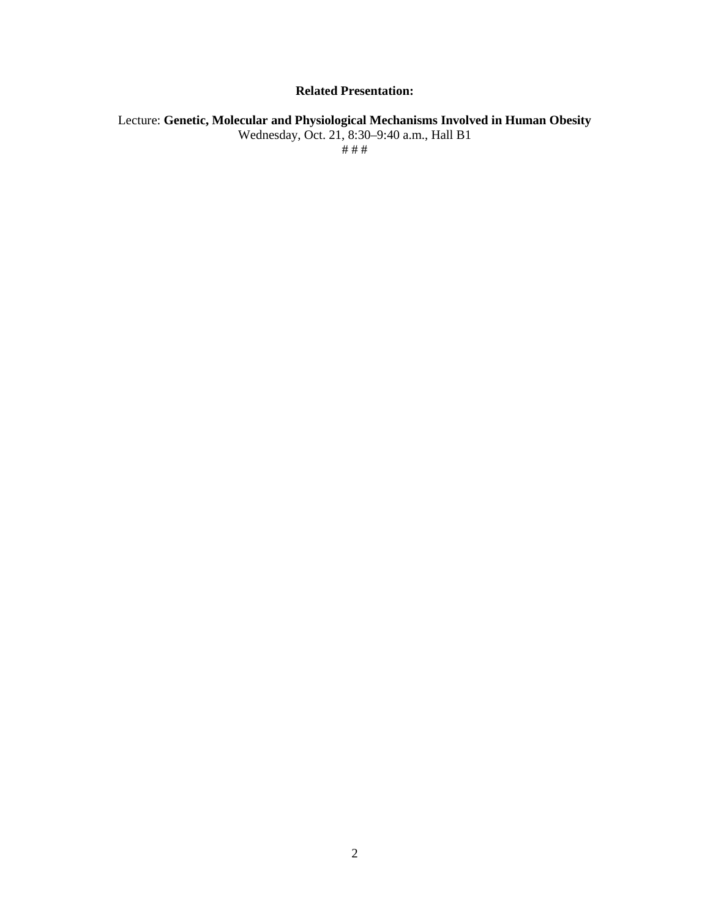# **Related Presentation:**

Lecture: **Genetic, Molecular and Physiological Mechanisms Involved in Human Obesity** Wednesday, Oct. 21, 8:30–9:40 a.m., Hall B1 # # #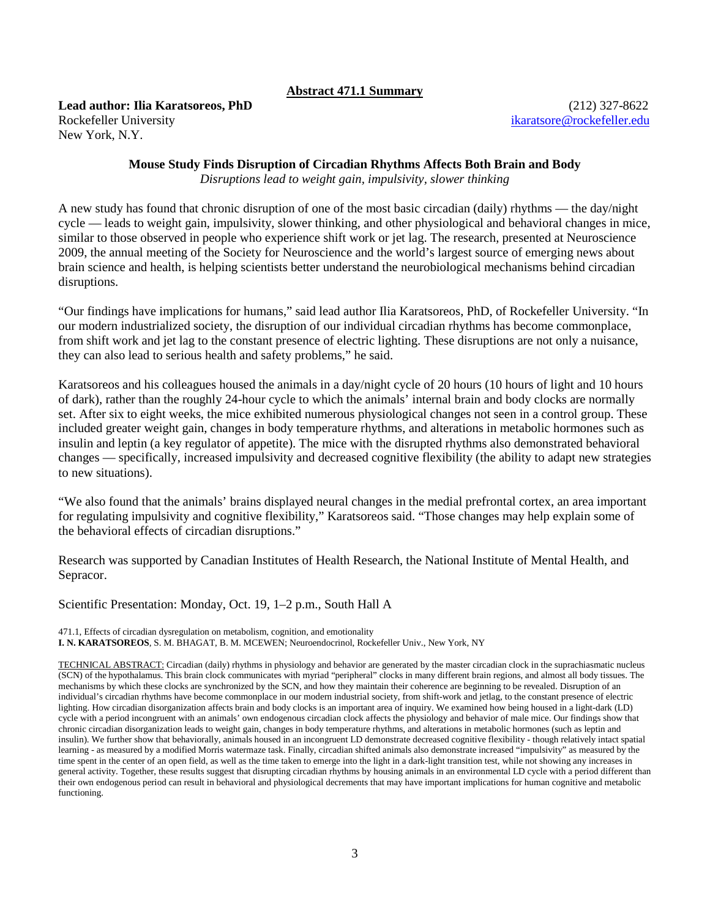## **Abstract 471.1 Summary**

**Lead author: Ilia Karatsoreos, PhD** (212) 327-8622 Rockefeller University **[ikaratsore@rockefeller.edu](mailto:ikaratsore@rockefeller.edu)** New York, N.Y.

## **Mouse Study Finds Disruption of Circadian Rhythms Affects Both Brain and Body**

*Disruptions lead to weight gain, impulsivity, slower thinking*

A new study has found that chronic disruption of one of the most basic circadian (daily) rhythms — the day/night cycle — leads to weight gain, impulsivity, slower thinking, and other physiological and behavioral changes in mice, similar to those observed in people who experience shift work or jet lag. The research, presented at Neuroscience 2009, the annual meeting of the Society for Neuroscience and the world's largest source of emerging news about brain science and health, is helping scientists better understand the neurobiological mechanisms behind circadian disruptions.

"Our findings have implications for humans," said lead author Ilia Karatsoreos, PhD, of Rockefeller University. "In our modern industrialized society, the disruption of our individual circadian rhythms has become commonplace, from shift work and jet lag to the constant presence of electric lighting. These disruptions are not only a nuisance, they can also lead to serious health and safety problems," he said.

Karatsoreos and his colleagues housed the animals in a day/night cycle of 20 hours (10 hours of light and 10 hours of dark), rather than the roughly 24-hour cycle to which the animals' internal brain and body clocks are normally set. After six to eight weeks, the mice exhibited numerous physiological changes not seen in a control group. These included greater weight gain, changes in body temperature rhythms, and alterations in metabolic hormones such as insulin and leptin (a key regulator of appetite). The mice with the disrupted rhythms also demonstrated behavioral changes — specifically, increased impulsivity and decreased cognitive flexibility (the ability to adapt new strategies to new situations).

"We also found that the animals' brains displayed neural changes in the medial prefrontal cortex, an area important for regulating impulsivity and cognitive flexibility," Karatsoreos said. "Those changes may help explain some of the behavioral effects of circadian disruptions."

Research was supported by Canadian Institutes of Health Research, the National Institute of Mental Health, and Sepracor.

Scientific Presentation: Monday, Oct. 19, 1–2 p.m., South Hall A

471.1, Effects of circadian dysregulation on metabolism, cognition, and emotionality **I. N. KARATSOREOS**, S. M. BHAGAT, B. M. MCEWEN; Neuroendocrinol, Rockefeller Univ., New York, NY

TECHNICAL ABSTRACT: Circadian (daily) rhythms in physiology and behavior are generated by the master circadian clock in the suprachiasmatic nucleus (SCN) of the hypothalamus. This brain clock communicates with myriad "peripheral" clocks in many different brain regions, and almost all body tissues. The mechanisms by which these clocks are synchronized by the SCN, and how they maintain their coherence are beginning to be revealed. Disruption of an individual's circadian rhythms have become commonplace in our modern industrial society, from shift-work and jetlag, to the constant presence of electric lighting. How circadian disorganization affects brain and body clocks is an important area of inquiry. We examined how being housed in a light-dark (LD) cycle with a period incongruent with an animals' own endogenous circadian clock affects the physiology and behavior of male mice. Our findings show that chronic circadian disorganization leads to weight gain, changes in body temperature rhythms, and alterations in metabolic hormones (such as leptin and insulin). We further show that behaviorally, animals housed in an incongruent LD demonstrate decreased cognitive flexibility - though relatively intact spatial learning - as measured by a modified Morris watermaze task. Finally, circadian shifted animals also demonstrate increased "impulsivity" as measured by the time spent in the center of an open field, as well as the time taken to emerge into the light in a dark-light transition test, while not showing any increases in general activity. Together, these results suggest that disrupting circadian rhythms by housing animals in an environmental LD cycle with a period different than their own endogenous period can result in behavioral and physiological decrements that may have important implications for human cognitive and metabolic functioning.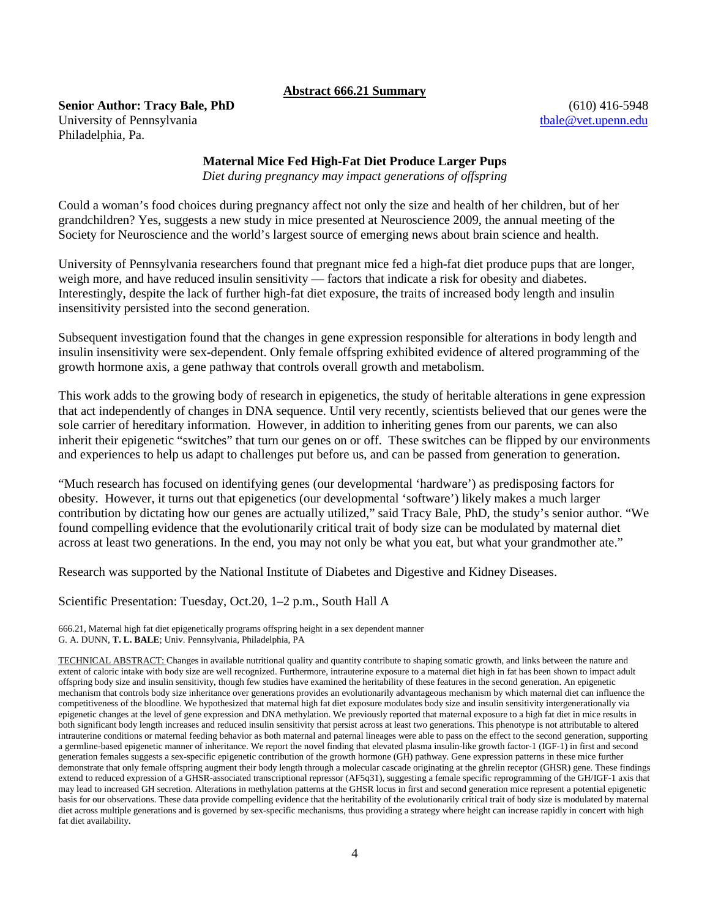## **Abstract 666.21 Summary**

**Senior Author: Tracy Bale, PhD** (610) 416-5948 University of Pennsylvania tbale @vet.upenn.edu Philadelphia, Pa.

## **Maternal Mice Fed High-Fat Diet Produce Larger Pups**

*Diet during pregnancy may impact generations of offspring*

Could a woman's food choices during pregnancy affect not only the size and health of her children, but of her grandchildren? Yes, suggests a new study in mice presented at Neuroscience 2009, the annual meeting of the Society for Neuroscience and the world's largest source of emerging news about brain science and health.

University of Pennsylvania researchers found that pregnant mice fed a high-fat diet produce pups that are longer, weigh more, and have reduced insulin sensitivity — factors that indicate a risk for obesity and diabetes. Interestingly, despite the lack of further high-fat diet exposure, the traits of increased body length and insulin insensitivity persisted into the second generation.

Subsequent investigation found that the changes in gene expression responsible for alterations in body length and insulin insensitivity were sex-dependent. Only female offspring exhibited evidence of altered programming of the growth hormone axis, a gene pathway that controls overall growth and metabolism.

This work adds to the growing body of research in epigenetics, the study of heritable alterations in gene expression that act independently of changes in DNA sequence. Until very recently, scientists believed that our genes were the sole carrier of hereditary information. However, in addition to inheriting genes from our parents, we can also inherit their epigenetic "switches" that turn our genes on or off. These switches can be flipped by our environments and experiences to help us adapt to challenges put before us, and can be passed from generation to generation.

"Much research has focused on identifying genes (our developmental 'hardware') as predisposing factors for obesity. However, it turns out that epigenetics (our developmental 'software') likely makes a much larger contribution by dictating how our genes are actually utilized," said Tracy Bale, PhD, the study's senior author. "We found compelling evidence that the evolutionarily critical trait of body size can be modulated by maternal diet across at least two generations. In the end, you may not only be what you eat, but what your grandmother ate."

Research was supported by the National Institute of Diabetes and Digestive and Kidney Diseases.

Scientific Presentation: Tuesday, Oct.20, 1–2 p.m., South Hall A

666.21, Maternal high fat diet epigenetically programs offspring height in a sex dependent manner G. A. DUNN, **T. L. BALE**; Univ. Pennsylvania, Philadelphia, PA

TECHNICAL ABSTRACT: Changes in available nutritional quality and quantity contribute to shaping somatic growth, and links between the nature and extent of caloric intake with body size are well recognized. Furthermore, intrauterine exposure to a maternal diet high in fat has been shown to impact adult offspring body size and insulin sensitivity, though few studies have examined the heritability of these features in the second generation. An epigenetic mechanism that controls body size inheritance over generations provides an evolutionarily advantageous mechanism by which maternal diet can influence the competitiveness of the bloodline. We hypothesized that maternal high fat diet exposure modulates body size and insulin sensitivity intergenerationally via epigenetic changes at the level of gene expression and DNA methylation. We previously reported that maternal exposure to a high fat diet in mice results in both significant body length increases and reduced insulin sensitivity that persist across at least two generations. This phenotype is not attributable to altered intrauterine conditions or maternal feeding behavior as both maternal and paternal lineages were able to pass on the effect to the second generation, supporting a germline-based epigenetic manner of inheritance. We report the novel finding that elevated plasma insulin-like growth factor-1 (IGF-1) in first and second generation females suggests a sex-specific epigenetic contribution of the growth hormone (GH) pathway. Gene expression patterns in these mice further demonstrate that only female offspring augment their body length through a molecular cascade originating at the ghrelin receptor (GHSR) gene. These findings extend to reduced expression of a GHSR-associated transcriptional repressor (AF5q31), suggesting a female specific reprogramming of the GH/IGF-1 axis that may lead to increased GH secretion. Alterations in methylation patterns at the GHSR locus in first and second generation mice represent a potential epigenetic basis for our observations. These data provide compelling evidence that the heritability of the evolutionarily critical trait of body size is modulated by maternal diet across multiple generations and is governed by sex-specific mechanisms, thus providing a strategy where height can increase rapidly in concert with high fat diet availability.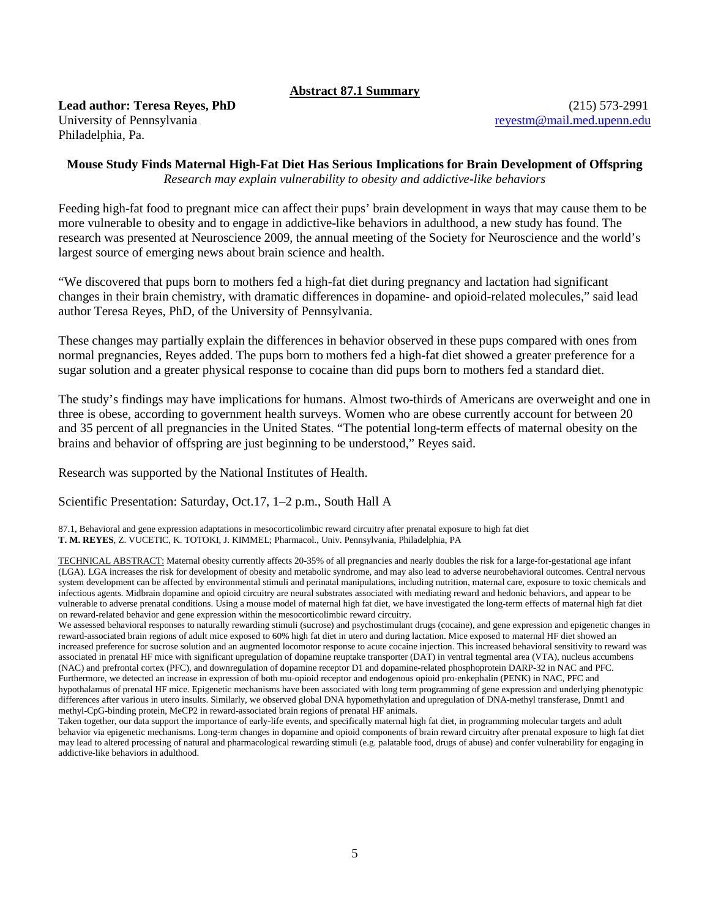## **Abstract 87.1 Summary**

**Lead author: Teresa Reyes, PhD** (215) 573-2991 University of Pennsylvania [reyestm@mail.med.upenn.edu](mailto:reyestm@mail.med.upenn.edu) Philadelphia, Pa.

## **Mouse Study Finds Maternal High-Fat Diet Has Serious Implications for Brain Development of Offspring** *Research may explain vulnerability to obesity and addictive-like behaviors*

Feeding high-fat food to pregnant mice can affect their pups' brain development in ways that may cause them to be more vulnerable to obesity and to engage in addictive-like behaviors in adulthood, a new study has found. The research was presented at Neuroscience 2009, the annual meeting of the Society for Neuroscience and the world's largest source of emerging news about brain science and health.

"We discovered that pups born to mothers fed a high-fat diet during pregnancy and lactation had significant changes in their brain chemistry, with dramatic differences in dopamine- and opioid-related molecules," said lead author Teresa Reyes, PhD, of the University of Pennsylvania.

These changes may partially explain the differences in behavior observed in these pups compared with ones from normal pregnancies, Reyes added. The pups born to mothers fed a high-fat diet showed a greater preference for a sugar solution and a greater physical response to cocaine than did pups born to mothers fed a standard diet.

The study's findings may have implications for humans. Almost two-thirds of Americans are overweight and one in three is obese, according to government health surveys. Women who are obese currently account for between 20 and 35 percent of all pregnancies in the United States. "The potential long-term effects of maternal obesity on the brains and behavior of offspring are just beginning to be understood," Reyes said.

Research was supported by the National Institutes of Health.

Scientific Presentation: Saturday, Oct.17, 1–2 p.m., South Hall A

87.1, Behavioral and gene expression adaptations in mesocorticolimbic reward circuitry after prenatal exposure to high fat diet **T. M. REYES**, Z. VUCETIC, K. TOTOKI, J. KIMMEL; Pharmacol., Univ. Pennsylvania, Philadelphia, PA

TECHNICAL ABSTRACT: Maternal obesity currently affects 20-35% of all pregnancies and nearly doubles the risk for a large-for-gestational age infant (LGA). LGA increases the risk for development of obesity and metabolic syndrome, and may also lead to adverse neurobehavioral outcomes. Central nervous system development can be affected by environmental stimuli and perinatal manipulations, including nutrition, maternal care, exposure to toxic chemicals and infectious agents. Midbrain dopamine and opioid circuitry are neural substrates associated with mediating reward and hedonic behaviors, and appear to be vulnerable to adverse prenatal conditions. Using a mouse model of maternal high fat diet, we have investigated the long-term effects of maternal high fat diet on reward-related behavior and gene expression within the mesocorticolimbic reward circuitry.

We assessed behavioral responses to naturally rewarding stimuli (sucrose) and psychostimulant drugs (cocaine), and gene expression and epigenetic changes in reward-associated brain regions of adult mice exposed to 60% high fat diet in utero and during lactation. Mice exposed to maternal HF diet showed an increased preference for sucrose solution and an augmented locomotor response to acute cocaine injection. This increased behavioral sensitivity to reward was associated in prenatal HF mice with significant upregulation of dopamine reuptake transporter (DAT) in ventral tegmental area (VTA), nucleus accumbens (NAC) and prefrontal cortex (PFC), and downregulation of dopamine receptor D1 and dopamine-related phosphoprotein DARP-32 in NAC and PFC. Furthermore, we detected an increase in expression of both mu-opioid receptor and endogenous opioid pro-enkephalin (PENK) in NAC, PFC and hypothalamus of prenatal HF mice. Epigenetic mechanisms have been associated with long term programming of gene expression and underlying phenotypic differences after various in utero insults. Similarly, we observed global DNA hypomethylation and upregulation of DNA-methyl transferase, Dnmt1 and methyl-CpG-binding protein, MeCP2 in reward-associated brain regions of prenatal HF animals.

Taken together, our data support the importance of early-life events, and specifically maternal high fat diet, in programming molecular targets and adult behavior via epigenetic mechanisms. Long-term changes in dopamine and opioid components of brain reward circuitry after prenatal exposure to high fat diet may lead to altered processing of natural and pharmacological rewarding stimuli (e.g. palatable food, drugs of abuse) and confer vulnerability for engaging in addictive-like behaviors in adulthood.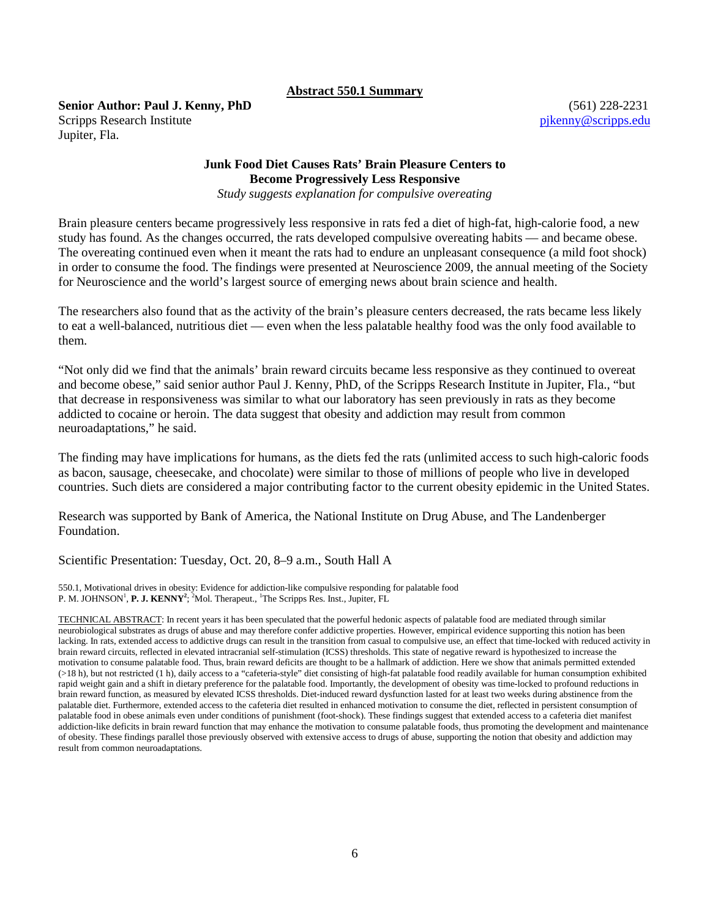#### **Abstract 550.1 Summary**

**Senior Author: Paul J. Kenny, PhD** (561) 228-2231 Scripps Research Institute [pjkenny@scripps.edu](mailto:pjkenny@scripps.edu) Jupiter, Fla.

# **Junk Food Diet Causes Rats' Brain Pleasure Centers to Become Progressively Less Responsive**

*Study suggests explanation for compulsive overeating*

Brain pleasure centers became progressively less responsive in rats fed a diet of high-fat, high-calorie food, a new study has found. As the changes occurred, the rats developed compulsive overeating habits — and became obese. The overeating continued even when it meant the rats had to endure an unpleasant consequence (a mild foot shock) in order to consume the food. The findings were presented at Neuroscience 2009, the annual meeting of the Society for Neuroscience and the world's largest source of emerging news about brain science and health.

The researchers also found that as the activity of the brain's pleasure centers decreased, the rats became less likely to eat a well-balanced, nutritious diet — even when the less palatable healthy food was the only food available to them.

"Not only did we find that the animals' brain reward circuits became less responsive as they continued to overeat and become obese," said senior author Paul J. Kenny, PhD, of the Scripps Research Institute in Jupiter, Fla., "but that decrease in responsiveness was similar to what our laboratory has seen previously in rats as they become addicted to cocaine or heroin. The data suggest that obesity and addiction may result from common neuroadaptations," he said.

The finding may have implications for humans, as the diets fed the rats (unlimited access to such high-caloric foods as bacon, sausage, cheesecake, and chocolate) were similar to those of millions of people who live in developed countries. Such diets are considered a major contributing factor to the current obesity epidemic in the United States.

Research was supported by Bank of America, the National Institute on Drug Abuse, and The Landenberger Foundation.

Scientific Presentation: Tuesday, Oct. 20, 8–9 a.m., South Hall A

550.1, Motivational drives in obesity: Evidence for addiction-like compulsive responding for palatable food P. M. JOHNSON<sup>1</sup>, P. J. KENNY<sup>2</sup>; <sup>2</sup>Mol. Therapeut., <sup>1</sup>The Scripps Res. Inst., Jupiter, FL

TECHNICAL ABSTRACT: In recent years it has been speculated that the powerful hedonic aspects of palatable food are mediated through similar neurobiological substrates as drugs of abuse and may therefore confer addictive properties. However, empirical evidence supporting this notion has been lacking. In rats, extended access to addictive drugs can result in the transition from casual to compulsive use, an effect that time-locked with reduced activity in brain reward circuits, reflected in elevated intracranial self-stimulation (ICSS) thresholds. This state of negative reward is hypothesized to increase the motivation to consume palatable food. Thus, brain reward deficits are thought to be a hallmark of addiction. Here we show that animals permitted extended (>18 h), but not restricted (1 h), daily access to a "cafeteria-style" diet consisting of high-fat palatable food readily available for human consumption exhibited rapid weight gain and a shift in dietary preference for the palatable food. Importantly, the development of obesity was time-locked to profound reductions in brain reward function, as measured by elevated ICSS thresholds. Diet-induced reward dysfunction lasted for at least two weeks during abstinence from the palatable diet. Furthermore, extended access to the cafeteria diet resulted in enhanced motivation to consume the diet, reflected in persistent consumption of palatable food in obese animals even under conditions of punishment (foot-shock). These findings suggest that extended access to a cafeteria diet manifest addiction-like deficits in brain reward function that may enhance the motivation to consume palatable foods, thus promoting the development and maintenance of obesity. These findings parallel those previously observed with extensive access to drugs of abuse, supporting the notion that obesity and addiction may result from common neuroadaptations.